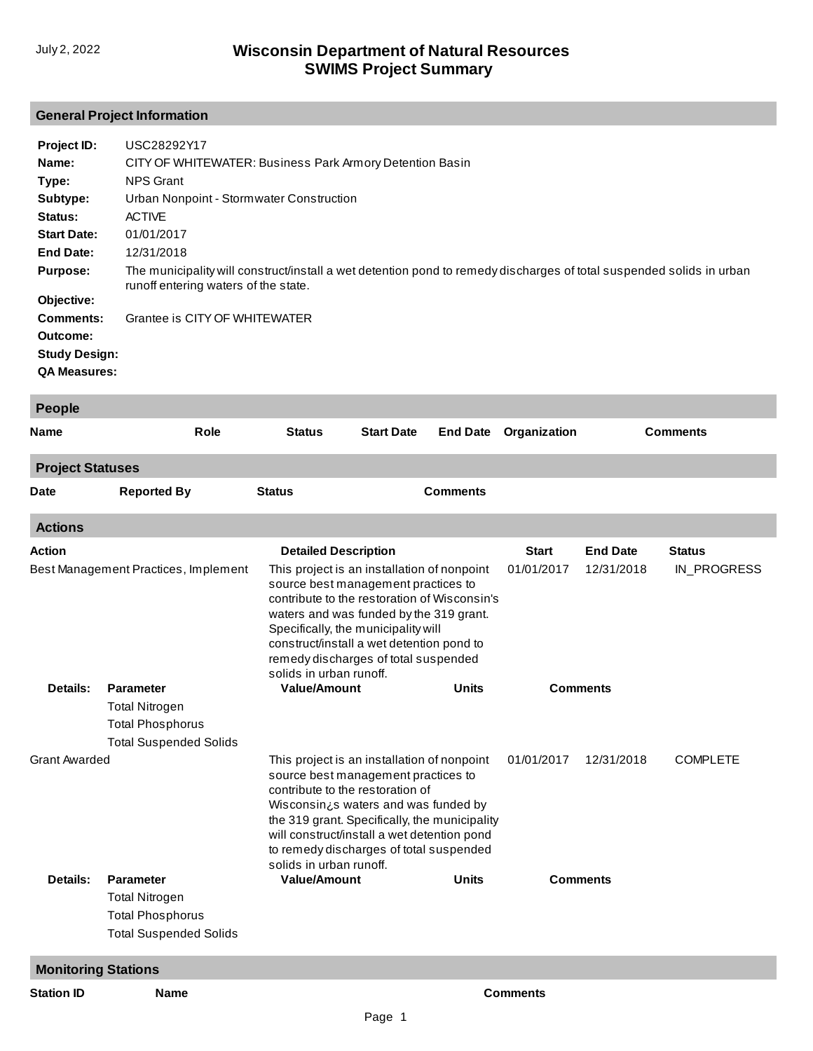# **General Project Information**

| Project ID:          | USC28292Y17                                                                                                                                                  |
|----------------------|--------------------------------------------------------------------------------------------------------------------------------------------------------------|
| Name:                | CITY OF WHITEWATER: Business Park Armory Detention Basin                                                                                                     |
| Type:                | <b>NPS Grant</b>                                                                                                                                             |
| Subtype:             | Urban Nonpoint - Stormwater Construction                                                                                                                     |
| Status:              | <b>ACTIVE</b>                                                                                                                                                |
| <b>Start Date:</b>   | 01/01/2017                                                                                                                                                   |
| End Date:            | 12/31/2018                                                                                                                                                   |
| <b>Purpose:</b>      | The municipality will construct/install a wet detention pond to remedy discharges of total suspended solids in urban<br>runoff entering waters of the state. |
| Objective:           |                                                                                                                                                              |
| <b>Comments:</b>     | Grantee is CITY OF WHITEWATER                                                                                                                                |
| Outcome:             |                                                                                                                                                              |
| <b>Study Design:</b> |                                                                                                                                                              |
| <b>QA Measures:</b>  |                                                                                                                                                              |

| <b>People</b>              |                                      |                                                                                                                                                                                                                                                                                                                                      |                   |                 |                 |                 |                 |
|----------------------------|--------------------------------------|--------------------------------------------------------------------------------------------------------------------------------------------------------------------------------------------------------------------------------------------------------------------------------------------------------------------------------------|-------------------|-----------------|-----------------|-----------------|-----------------|
| Name                       | Role                                 | <b>Status</b>                                                                                                                                                                                                                                                                                                                        | <b>Start Date</b> | <b>End Date</b> | Organization    |                 | <b>Comments</b> |
| <b>Project Statuses</b>    |                                      |                                                                                                                                                                                                                                                                                                                                      |                   |                 |                 |                 |                 |
| <b>Date</b>                | <b>Reported By</b>                   | <b>Status</b>                                                                                                                                                                                                                                                                                                                        |                   | <b>Comments</b> |                 |                 |                 |
| <b>Actions</b>             |                                      |                                                                                                                                                                                                                                                                                                                                      |                   |                 |                 |                 |                 |
| <b>Action</b>              |                                      | <b>Detailed Description</b>                                                                                                                                                                                                                                                                                                          |                   |                 | <b>Start</b>    | <b>End Date</b> | <b>Status</b>   |
|                            | Best Management Practices, Implement | This project is an installation of nonpoint<br>source best management practices to<br>contribute to the restoration of Wisconsin's<br>waters and was funded by the 319 grant.<br>Specifically, the municipality will<br>construct/install a wet detention pond to<br>remedy discharges of total suspended<br>solids in urban runoff. |                   |                 | 01/01/2017      | 12/31/2018      | IN_PROGRESS     |
| Details:                   | <b>Parameter</b>                     | <b>Value/Amount</b><br><b>Units</b>                                                                                                                                                                                                                                                                                                  |                   |                 | <b>Comments</b> |                 |                 |
|                            | <b>Total Nitrogen</b>                |                                                                                                                                                                                                                                                                                                                                      |                   |                 |                 |                 |                 |
|                            | <b>Total Phosphorus</b>              |                                                                                                                                                                                                                                                                                                                                      |                   |                 |                 |                 |                 |
|                            | <b>Total Suspended Solids</b>        |                                                                                                                                                                                                                                                                                                                                      |                   |                 |                 |                 |                 |
| <b>Grant Awarded</b>       |                                      | This project is an installation of nonpoint<br>source best management practices to<br>contribute to the restoration of<br>Wisconsin¿s waters and was funded by<br>the 319 grant. Specifically, the municipality<br>will construct/install a wet detention pond<br>to remedy discharges of total suspended<br>solids in urban runoff. |                   |                 | 01/01/2017      | 12/31/2018      | <b>COMPLETE</b> |
| Details:                   | <b>Parameter</b>                     | <b>Value/Amount</b>                                                                                                                                                                                                                                                                                                                  |                   | Units           |                 | <b>Comments</b> |                 |
|                            | <b>Total Nitrogen</b>                |                                                                                                                                                                                                                                                                                                                                      |                   |                 |                 |                 |                 |
|                            | <b>Total Phosphorus</b>              |                                                                                                                                                                                                                                                                                                                                      |                   |                 |                 |                 |                 |
|                            | <b>Total Suspended Solids</b>        |                                                                                                                                                                                                                                                                                                                                      |                   |                 |                 |                 |                 |
| <b>Monitoring Stations</b> |                                      |                                                                                                                                                                                                                                                                                                                                      |                   |                 |                 |                 |                 |
| <b>Station ID</b>          | <b>Name</b>                          |                                                                                                                                                                                                                                                                                                                                      |                   |                 | <b>Comments</b> |                 |                 |
|                            |                                      |                                                                                                                                                                                                                                                                                                                                      | $D = -1$          |                 |                 |                 |                 |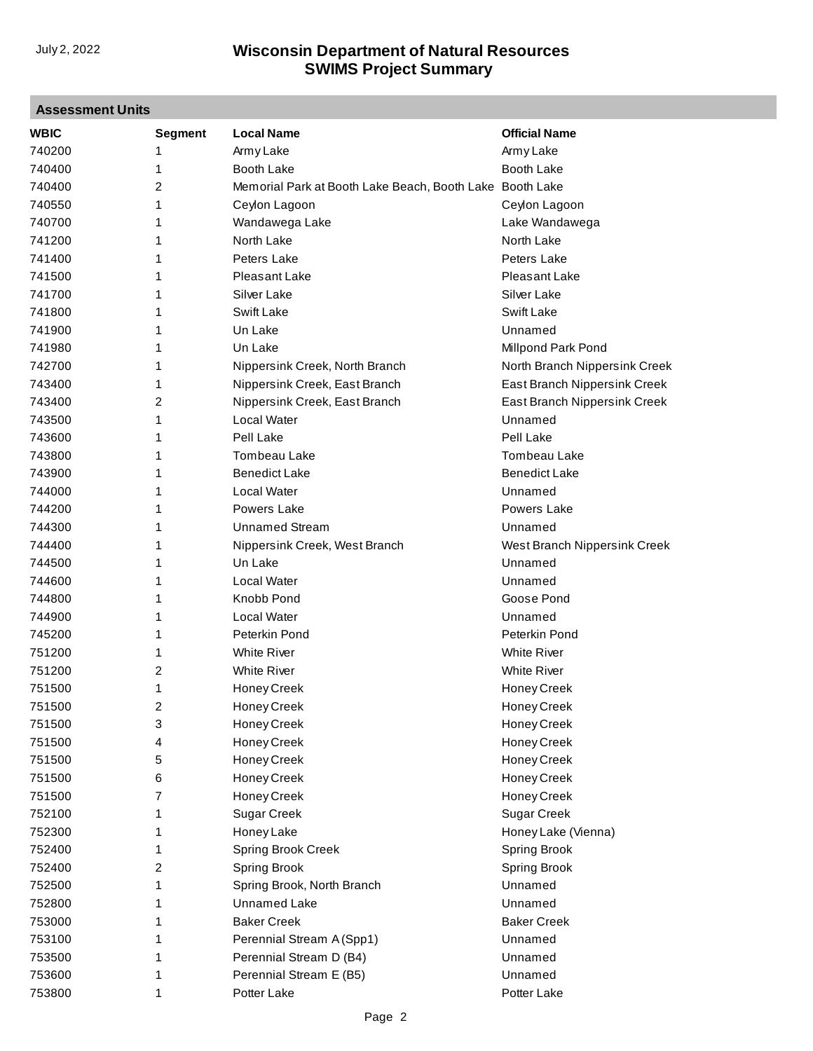| <b>Assessment Units</b> |                |                                               |                               |
|-------------------------|----------------|-----------------------------------------------|-------------------------------|
| <b>WBIC</b>             | <b>Segment</b> | <b>Local Name</b>                             | <b>Official Name</b>          |
| 740200                  | 1              | Army Lake                                     | Army Lake                     |
| 740400                  | 1              | Booth Lake                                    | Booth Lake                    |
| 740400                  | 2              | Memorial Park at Booth Lake Beach, Booth Lake | <b>Booth Lake</b>             |
| 740550                  | 1              | Ceylon Lagoon                                 | Ceylon Lagoon                 |
| 740700                  | 1              | Wandawega Lake                                | Lake Wandawega                |
| 741200                  | 1              | North Lake                                    | North Lake                    |
| 741400                  | 1              | Peters Lake                                   | Peters Lake                   |
| 741500                  | 1              | Pleasant Lake                                 | Pleasant Lake                 |
| 741700                  | 1              | Silver Lake                                   | Silver Lake                   |
| 741800                  | 1              | Swift Lake                                    | Swift Lake                    |
| 741900                  | 1              | Un Lake                                       | Unnamed                       |
| 741980                  | 1              | Un Lake                                       | Millpond Park Pond            |
| 742700                  | 1              | Nippersink Creek, North Branch                | North Branch Nippersink Creek |
| 743400                  | 1              | Nippersink Creek, East Branch                 | East Branch Nippersink Creek  |
| 743400                  | 2              | Nippersink Creek, East Branch                 | East Branch Nippersink Creek  |
| 743500                  | 1              | <b>Local Water</b>                            | Unnamed                       |
| 743600                  | 1              | Pell Lake                                     | Pell Lake                     |
| 743800                  | 1              | Tombeau Lake                                  | Tombeau Lake                  |
| 743900                  | 1              | <b>Benedict Lake</b>                          | <b>Benedict Lake</b>          |
| 744000                  | 1              | <b>Local Water</b>                            | Unnamed                       |
| 744200                  | 1              | Powers Lake                                   | Powers Lake                   |
| 744300                  | 1              | <b>Unnamed Stream</b>                         | Unnamed                       |
| 744400                  | 1              | Nippersink Creek, West Branch                 | West Branch Nippersink Creek  |
| 744500                  | 1              | Un Lake                                       | Unnamed                       |
| 744600                  | 1              | Local Water                                   | Unnamed                       |
| 744800                  | 1              | Knobb Pond                                    | Goose Pond                    |
| 744900                  | 1              | Local Water                                   | Unnamed                       |
| 745200                  | 1              | Peterkin Pond                                 | Peterkin Pond                 |
| 751200                  | 1              | White River                                   | <b>White River</b>            |
| 751200                  | 2              | <b>White River</b>                            | <b>White River</b>            |
| 751500                  | 1              | Honey Creek                                   | Honey Creek                   |
| 751500                  | 2              | Honey Creek                                   | Honey Creek                   |
| 751500                  | 3              | Honey Creek                                   | Honey Creek                   |
| 751500                  | 4              | Honey Creek                                   | Honey Creek                   |
| 751500                  | 5              | Honey Creek                                   | Honey Creek                   |
| 751500                  | 6              | Honey Creek                                   | Honey Creek                   |
| 751500                  | 7              | Honey Creek                                   | Honey Creek                   |
| 752100                  | 1              | <b>Sugar Creek</b>                            | <b>Sugar Creek</b>            |
| 752300                  | 1              | Honey Lake                                    | Honey Lake (Vienna)           |
| 752400                  | 1              | Spring Brook Creek                            | <b>Spring Brook</b>           |
| 752400                  | 2              | Spring Brook                                  | <b>Spring Brook</b>           |
| 752500                  | 1              | Spring Brook, North Branch                    | Unnamed                       |
| 752800                  | 1              | Unnamed Lake                                  | Unnamed                       |
| 753000                  | 1              | <b>Baker Creek</b>                            | <b>Baker Creek</b>            |
| 753100                  | 1              | Perennial Stream A (Spp1)                     | Unnamed                       |
| 753500                  | 1              | Perennial Stream D (B4)                       | Unnamed                       |
| 753600                  | 1              | Perennial Stream E (B5)                       | Unnamed                       |
| 753800                  | 1              | Potter Lake                                   | Potter Lake                   |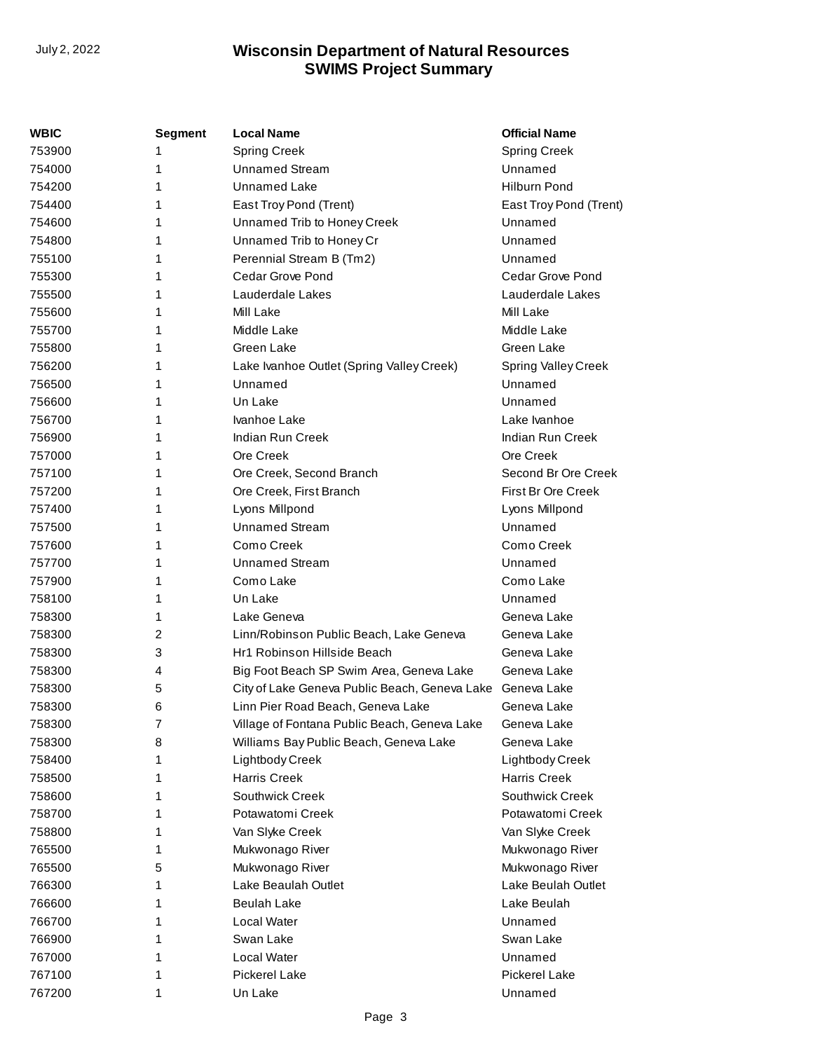| WBIC   | <b>Segment</b> | <b>Local Name</b>                             | <b>Official Name</b>       |
|--------|----------------|-----------------------------------------------|----------------------------|
| 753900 | 1              | <b>Spring Creek</b>                           | <b>Spring Creek</b>        |
| 754000 | 1              | <b>Unnamed Stream</b>                         | Unnamed                    |
| 754200 | 1              | Unnamed Lake                                  | <b>Hilburn Pond</b>        |
| 754400 | 1              | East Troy Pond (Trent)                        | East Troy Pond (Trent)     |
| 754600 | 1              | Unnamed Trib to Honey Creek                   | Unnamed                    |
| 754800 | 1              | Unnamed Trib to Honey Cr                      | Unnamed                    |
| 755100 | 1              | Perennial Stream B (Tm2)                      | Unnamed                    |
| 755300 | 1              | Cedar Grove Pond                              | Cedar Grove Pond           |
| 755500 | 1              | Lauderdale Lakes                              | Lauderdale Lakes           |
| 755600 | 1              | Mill Lake                                     | Mill Lake                  |
| 755700 | 1              | Middle Lake                                   | Middle Lake                |
| 755800 | 1              | Green Lake                                    | Green Lake                 |
| 756200 | 1              | Lake Ivanhoe Outlet (Spring Valley Creek)     | <b>Spring Valley Creek</b> |
| 756500 | 1              | Unnamed                                       | Unnamed                    |
| 756600 | 1              | Un Lake                                       | Unnamed                    |
| 756700 | 1              | Ivanhoe Lake                                  | Lake Ivanhoe               |
| 756900 | 1              | Indian Run Creek                              | Indian Run Creek           |
| 757000 | 1              | Ore Creek                                     | Ore Creek                  |
| 757100 | 1              | Ore Creek, Second Branch                      | Second Br Ore Creek        |
| 757200 | 1              | Ore Creek, First Branch                       | First Br Ore Creek         |
| 757400 | 1              | Lyons Millpond                                | Lyons Millpond             |
| 757500 | 1              | <b>Unnamed Stream</b>                         | Unnamed                    |
| 757600 | 1              | Como Creek                                    | Como Creek                 |
| 757700 | 1              | <b>Unnamed Stream</b>                         | Unnamed                    |
| 757900 | 1              | Como Lake                                     | Como Lake                  |
| 758100 | 1              | Un Lake                                       | Unnamed                    |
| 758300 | 1              | Lake Geneva                                   | Geneva Lake                |
| 758300 | 2              | Linn/Robinson Public Beach, Lake Geneva       | Geneva Lake                |
| 758300 | 3              | Hr1 Robinson Hillside Beach                   | Geneva Lake                |
| 758300 | 4              | Big Foot Beach SP Swim Area, Geneva Lake      | Geneva Lake                |
| 758300 | 5              | City of Lake Geneva Public Beach, Geneva Lake | Geneva Lake                |
| 758300 | 6              | Linn Pier Road Beach, Geneva Lake             | Geneva Lake                |
| 758300 | 7              | Village of Fontana Public Beach, Geneva Lake  | Geneva Lake                |
| 758300 | 8              | Williams Bay Public Beach, Geneva Lake        | Geneva Lake                |
| 758400 | 1              | Lightbody Creek                               | Lightbody Creek            |
| 758500 | 1              | <b>Harris Creek</b>                           | <b>Harris Creek</b>        |
| 758600 | 1              | Southwick Creek                               | Southwick Creek            |
| 758700 | 1              | Potawatomi Creek                              | Potawatomi Creek           |
| 758800 | 1              | Van Slyke Creek                               | Van Slyke Creek            |
| 765500 | 1              | Mukwonago River                               | Mukwonago River            |
| 765500 | 5              | Mukwonago River                               | Mukwonago River            |
| 766300 | 1              | Lake Beaulah Outlet                           | Lake Beulah Outlet         |
| 766600 | 1              | <b>Beulah Lake</b>                            | Lake Beulah                |
| 766700 | 1              | Local Water                                   | Unnamed                    |
| 766900 | 1              | Swan Lake                                     | Swan Lake                  |
| 767000 | 1              | Local Water                                   | Unnamed                    |
| 767100 | 1              | Pickerel Lake                                 | <b>Pickerel Lake</b>       |
| 767200 | 1              | Un Lake                                       | Unnamed                    |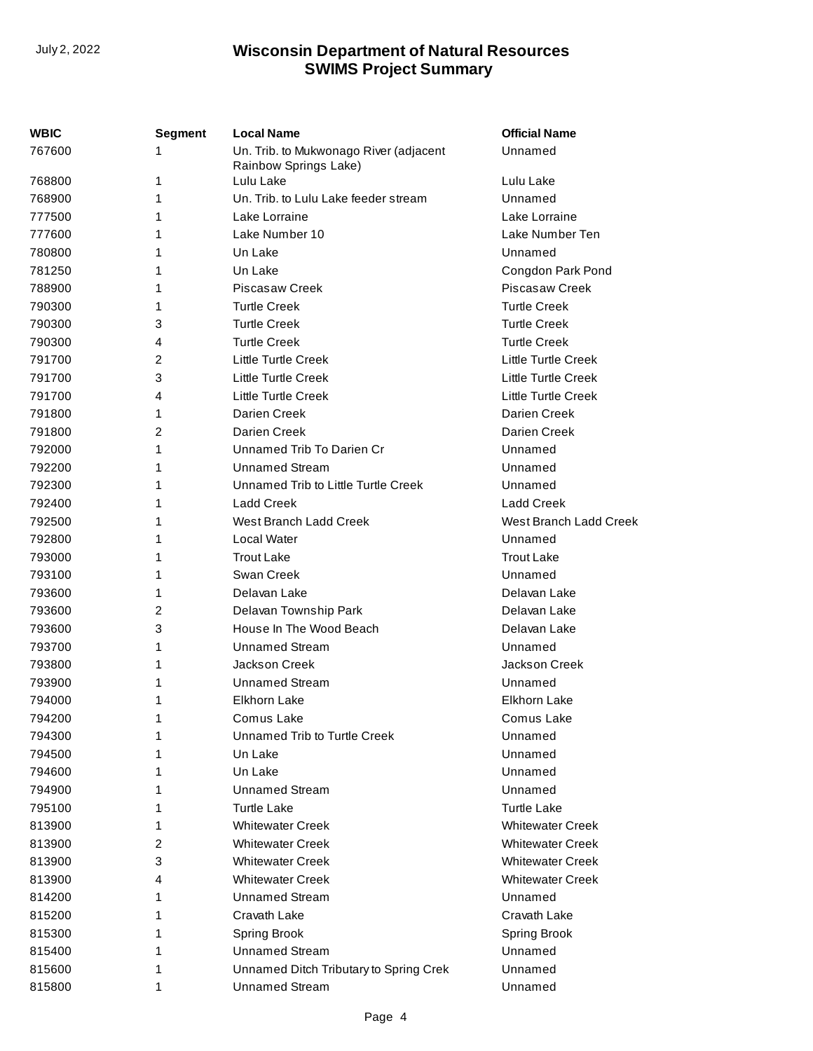| WBIC   | <b>Segment</b> | <b>Local Name</b>                                               | <b>Official Name</b>       |
|--------|----------------|-----------------------------------------------------------------|----------------------------|
| 767600 | 1              | Un. Trib. to Mukwonago River (adjacent<br>Rainbow Springs Lake) | Unnamed                    |
| 768800 | 1              | Lulu Lake                                                       | Lulu Lake                  |
| 768900 | 1              | Un. Trib. to Lulu Lake feeder stream                            | Unnamed                    |
| 777500 | 1              | Lake Lorraine                                                   | Lake Lorraine              |
| 777600 | 1              | Lake Number 10                                                  | Lake Number Ten            |
| 780800 | 1              | Un Lake                                                         | Unnamed                    |
| 781250 | 1              | Un Lake                                                         | Congdon Park Pond          |
| 788900 | 1              | <b>Piscasaw Creek</b>                                           | Piscasaw Creek             |
| 790300 | 1              | <b>Turtle Creek</b>                                             | <b>Turtle Creek</b>        |
| 790300 | 3              | <b>Turtle Creek</b>                                             | <b>Turtle Creek</b>        |
| 790300 | 4              | <b>Turtle Creek</b>                                             | <b>Turtle Creek</b>        |
| 791700 | 2              | <b>Little Turtle Creek</b>                                      | <b>Little Turtle Creek</b> |
| 791700 | 3              | <b>Little Turtle Creek</b>                                      | <b>Little Turtle Creek</b> |
| 791700 | 4              | <b>Little Turtle Creek</b>                                      | Little Turtle Creek        |
| 791800 | 1              | Darien Creek                                                    | Darien Creek               |
| 791800 | 2              | Darien Creek                                                    | Darien Creek               |
| 792000 | 1              | Unnamed Trib To Darien Cr                                       | Unnamed                    |
| 792200 | 1              | <b>Unnamed Stream</b>                                           | Unnamed                    |
| 792300 | 1              | Unnamed Trib to Little Turtle Creek                             | Unnamed                    |
| 792400 | 1              | <b>Ladd Creek</b>                                               | <b>Ladd Creek</b>          |
| 792500 | 1              | West Branch Ladd Creek                                          | West Branch Ladd Creek     |
| 792800 | 1              | Local Water                                                     | Unnamed                    |
| 793000 | 1              | <b>Trout Lake</b>                                               | <b>Trout Lake</b>          |
| 793100 | 1              | Swan Creek                                                      | Unnamed                    |
| 793600 | 1              | Delavan Lake                                                    | Delavan Lake               |
| 793600 | 2              | Delavan Township Park                                           | Delavan Lake               |
| 793600 | 3              | House In The Wood Beach                                         | Delavan Lake               |
| 793700 | 1              | <b>Unnamed Stream</b>                                           | Unnamed                    |
| 793800 | 1              | Jackson Creek                                                   | Jackson Creek              |
| 793900 | 1              | <b>Unnamed Stream</b>                                           | Unnamed                    |
| 794000 | 1              | <b>Elkhorn Lake</b>                                             | Elkhorn Lake               |
| 794200 | 1              | Comus Lake                                                      | Comus Lake                 |
| 794300 | 1              | Unnamed Trib to Turtle Creek                                    | Unnamed                    |
| 794500 | 1              | Un Lake                                                         | Unnamed                    |
| 794600 | 1              | Un Lake                                                         | Unnamed                    |
| 794900 | 1              | <b>Unnamed Stream</b>                                           | Unnamed                    |
| 795100 | 1              | <b>Turtle Lake</b>                                              | <b>Turtle Lake</b>         |
| 813900 | 1              | <b>Whitewater Creek</b>                                         | <b>Whitewater Creek</b>    |
| 813900 | 2              | <b>Whitewater Creek</b>                                         | <b>Whitewater Creek</b>    |
| 813900 | 3              | <b>Whitewater Creek</b>                                         | <b>Whitewater Creek</b>    |
| 813900 | 4              | <b>Whitewater Creek</b>                                         | <b>Whitewater Creek</b>    |
| 814200 | 1              | <b>Unnamed Stream</b>                                           | Unnamed                    |
| 815200 | 1              | Cravath Lake                                                    | Cravath Lake               |
| 815300 | 1              | Spring Brook                                                    |                            |
| 815400 | 1              | <b>Unnamed Stream</b>                                           | Spring Brook<br>Unnamed    |
|        |                |                                                                 |                            |
| 815600 | 1              | Unnamed Ditch Tributary to Spring Crek                          | Unnamed                    |
| 815800 | 1              | <b>Unnamed Stream</b>                                           | Unnamed                    |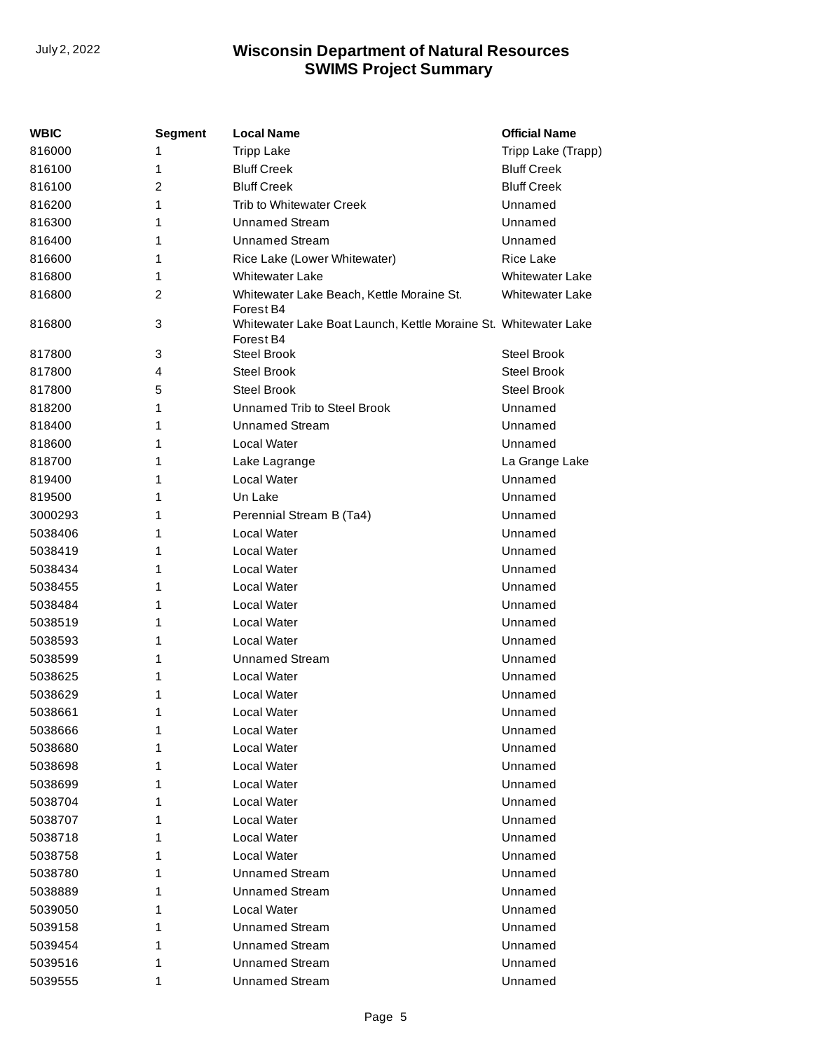| WBIC    | Segment | <b>Local Name</b>                                                            | <b>Official Name</b>   |
|---------|---------|------------------------------------------------------------------------------|------------------------|
| 816000  | 1       | <b>Tripp Lake</b>                                                            | Tripp Lake (Trapp)     |
| 816100  | 1       | <b>Bluff Creek</b>                                                           | <b>Bluff Creek</b>     |
| 816100  | 2       | <b>Bluff Creek</b>                                                           | <b>Bluff Creek</b>     |
| 816200  | 1       | <b>Trib to Whitewater Creek</b>                                              | Unnamed                |
| 816300  | 1       | <b>Unnamed Stream</b>                                                        | Unnamed                |
| 816400  | 1       | <b>Unnamed Stream</b>                                                        | Unnamed                |
| 816600  | 1       | Rice Lake (Lower Whitewater)                                                 | <b>Rice Lake</b>       |
| 816800  | 1       | <b>Whitewater Lake</b>                                                       | <b>Whitewater Lake</b> |
| 816800  | 2       | Whitewater Lake Beach, Kettle Moraine St.<br>Forest B4                       | <b>Whitewater Lake</b> |
| 816800  | 3       | Whitewater Lake Boat Launch, Kettle Moraine St. Whitewater Lake<br>Forest B4 |                        |
| 817800  | 3       | <b>Steel Brook</b>                                                           | Steel Brook            |
| 817800  | 4       | <b>Steel Brook</b>                                                           | Steel Brook            |
| 817800  | 5       | <b>Steel Brook</b>                                                           | <b>Steel Brook</b>     |
| 818200  | 1       | Unnamed Trib to Steel Brook                                                  | Unnamed                |
| 818400  | 1       | <b>Unnamed Stream</b>                                                        | Unnamed                |
| 818600  | 1       | Local Water                                                                  | Unnamed                |
| 818700  | 1       | Lake Lagrange                                                                | La Grange Lake         |
| 819400  | 1       | Local Water                                                                  | Unnamed                |
| 819500  | 1       | Un Lake                                                                      | Unnamed                |
| 3000293 | 1       | Perennial Stream B (Ta4)                                                     | Unnamed                |
| 5038406 | 1       | Local Water                                                                  | Unnamed                |
| 5038419 | 1       | Local Water                                                                  | Unnamed                |
| 5038434 | 1       | Local Water                                                                  | Unnamed                |
| 5038455 | 1       | <b>Local Water</b>                                                           | Unnamed                |
| 5038484 | 1       | Local Water                                                                  | Unnamed                |
| 5038519 | 1       | Local Water                                                                  | Unnamed                |
| 5038593 | 1       | Local Water                                                                  | Unnamed                |
| 5038599 | 1       | <b>Unnamed Stream</b>                                                        | Unnamed                |
| 5038625 | 1       | Local Water                                                                  | Unnamed                |
| 5038629 | 1       | Local Water                                                                  | Unnamed                |
| 5038661 | 1       | Local Water                                                                  | Unnamed                |
| 5038666 | 1       | Local Water                                                                  | Unnamed                |
| 5038680 | 1       | Local Water                                                                  | Unnamed                |
| 5038698 | 1       | Local Water                                                                  | Unnamed                |
| 5038699 | 1       | Local Water                                                                  | Unnamed                |
| 5038704 | 1       | Local Water                                                                  | Unnamed                |
| 5038707 | 1       | Local Water                                                                  | Unnamed                |
| 5038718 | 1       | Local Water                                                                  | Unnamed                |
| 5038758 | 1       | Local Water                                                                  | Unnamed                |
| 5038780 | 1       | <b>Unnamed Stream</b>                                                        | Unnamed                |
| 5038889 | 1       | <b>Unnamed Stream</b>                                                        | Unnamed                |
| 5039050 | 1       | Local Water                                                                  | Unnamed                |
| 5039158 | 1       | <b>Unnamed Stream</b>                                                        | Unnamed                |
| 5039454 | 1       | <b>Unnamed Stream</b>                                                        | Unnamed                |
| 5039516 | 1       | <b>Unnamed Stream</b>                                                        | Unnamed                |
| 5039555 | 1       | <b>Unnamed Stream</b>                                                        | Unnamed                |
|         |         |                                                                              |                        |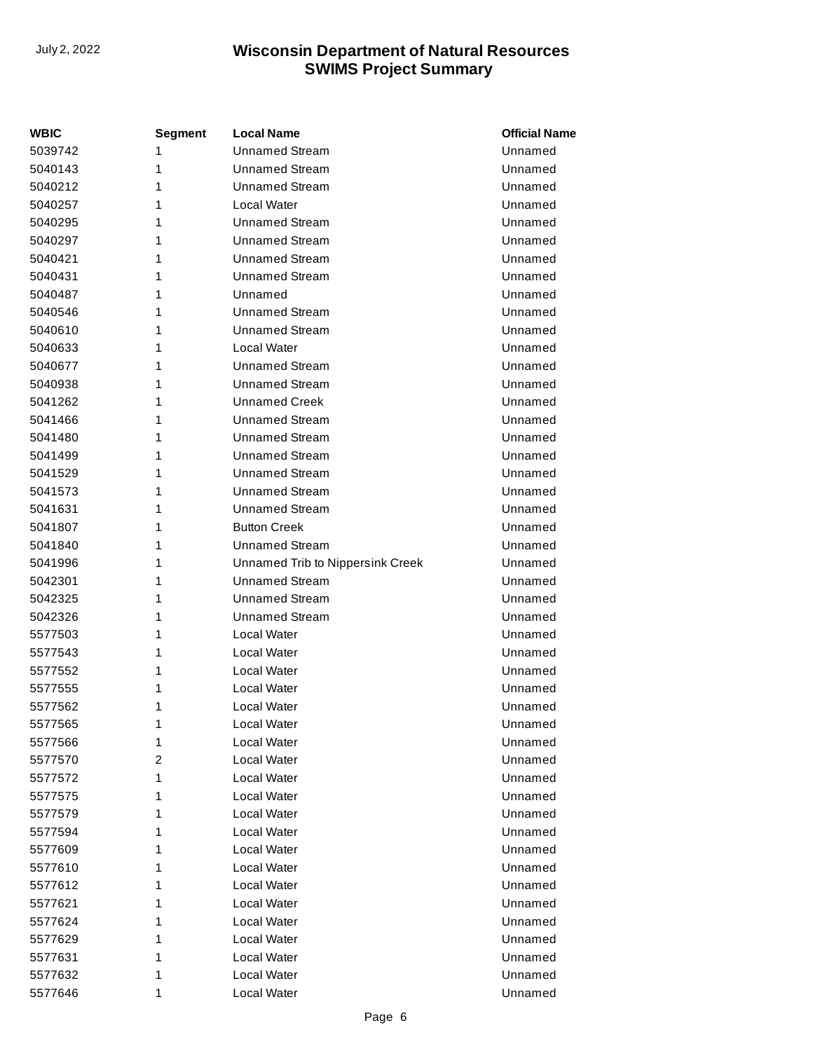| <b>WBIC</b> | <b>Segment</b> | <b>Local Name</b>                | <b>Official Name</b> |
|-------------|----------------|----------------------------------|----------------------|
| 5039742     | 1              | <b>Unnamed Stream</b>            | Unnamed              |
| 5040143     | 1              | <b>Unnamed Stream</b>            | Unnamed              |
| 5040212     | 1              | <b>Unnamed Stream</b>            | Unnamed              |
| 5040257     | 1              | Local Water                      | Unnamed              |
| 5040295     | 1              | <b>Unnamed Stream</b>            | Unnamed              |
| 5040297     | 1              | <b>Unnamed Stream</b>            | Unnamed              |
| 5040421     | 1              | <b>Unnamed Stream</b>            | Unnamed              |
| 5040431     | 1              | <b>Unnamed Stream</b>            | Unnamed              |
| 5040487     | 1              | Unnamed                          | Unnamed              |
| 5040546     | 1              | <b>Unnamed Stream</b>            | Unnamed              |
| 5040610     | 1              | <b>Unnamed Stream</b>            | Unnamed              |
| 5040633     | 1              | Local Water                      | Unnamed              |
| 5040677     | 1              | <b>Unnamed Stream</b>            | Unnamed              |
| 5040938     | 1              | <b>Unnamed Stream</b>            | Unnamed              |
| 5041262     | 1              | <b>Unnamed Creek</b>             | Unnamed              |
| 5041466     | 1              | <b>Unnamed Stream</b>            | Unnamed              |
| 5041480     | 1              | <b>Unnamed Stream</b>            | Unnamed              |
| 5041499     | 1              | <b>Unnamed Stream</b>            | Unnamed              |
| 5041529     | 1              | <b>Unnamed Stream</b>            | Unnamed              |
| 5041573     | 1              | <b>Unnamed Stream</b>            | Unnamed              |
| 5041631     | 1              | <b>Unnamed Stream</b>            | Unnamed              |
| 5041807     | 1              | <b>Button Creek</b>              | Unnamed              |
| 5041840     | 1              | <b>Unnamed Stream</b>            | Unnamed              |
| 5041996     | 1              | Unnamed Trib to Nippersink Creek | Unnamed              |
| 5042301     | 1              | <b>Unnamed Stream</b>            | Unnamed              |
| 5042325     | 1              | <b>Unnamed Stream</b>            | Unnamed              |
| 5042326     | 1              | <b>Unnamed Stream</b>            | Unnamed              |
| 5577503     | 1              | Local Water                      | Unnamed              |
| 5577543     | 1              | <b>Local Water</b>               | Unnamed              |
| 5577552     | 1              | <b>Local Water</b>               | Unnamed              |
| 5577555     | 1              | Local Water                      | Unnamed              |
| 5577562     | 1              | Local Water                      | Unnamed              |
| 5577565     | 1              | Local Water                      | Unnamed              |
| 5577566     | 1              | Local Water                      | Unnamed              |
| 5577570     | 2              | Local Water                      | Unnamed              |
| 5577572     | 1              | Local Water                      | Unnamed              |
| 5577575     | 1              | Local Water                      | Unnamed              |
| 5577579     | 1              | <b>Local Water</b>               | Unnamed              |
| 5577594     | 1              | <b>Local Water</b>               | Unnamed              |
| 5577609     | 1              | <b>Local Water</b>               | Unnamed              |
| 5577610     | 1              | Local Water                      | Unnamed              |
| 5577612     | 1              | <b>Local Water</b>               | Unnamed              |
| 5577621     | 1              | Local Water                      | Unnamed              |
| 5577624     | 1              | Local Water                      | Unnamed              |
| 5577629     | 1              | Local Water                      | Unnamed              |
| 5577631     | 1              | <b>Local Water</b>               | Unnamed              |
| 5577632     | 1              | Local Water                      | Unnamed              |
| 5577646     | 1              | Local Water                      | Unnamed              |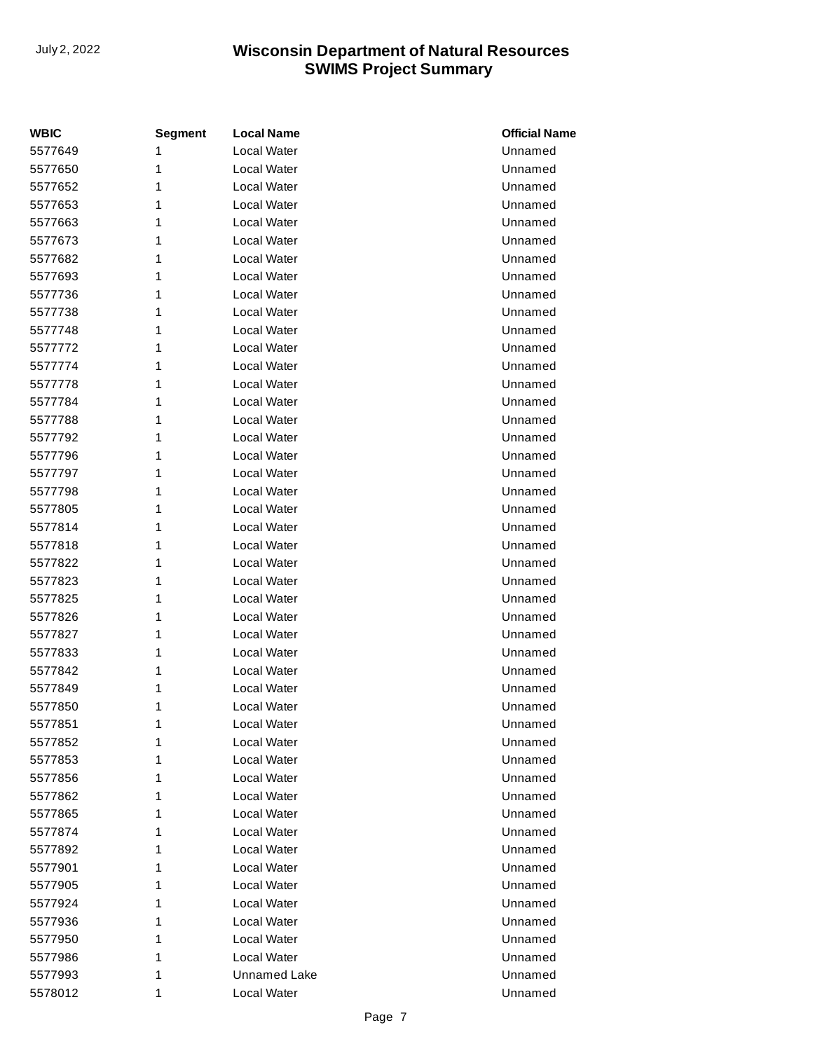| <b>WBIC</b> | <b>Segment</b> | <b>Local Name</b>   | <b>Official Name</b> |
|-------------|----------------|---------------------|----------------------|
| 5577649     | 1              | Local Water         | Unnamed              |
| 5577650     | 1              | Local Water         | Unnamed              |
| 5577652     | 1              | Local Water         | Unnamed              |
| 5577653     | 1              | Local Water         | Unnamed              |
| 5577663     | 1              | Local Water         | Unnamed              |
| 5577673     | 1              | Local Water         | Unnamed              |
| 5577682     | 1              | Local Water         | Unnamed              |
| 5577693     | 1              | Local Water         | Unnamed              |
| 5577736     | 1              | Local Water         | Unnamed              |
| 5577738     | 1              | Local Water         | Unnamed              |
| 5577748     | 1              | Local Water         | Unnamed              |
| 5577772     | 1              | Local Water         | Unnamed              |
| 5577774     | 1              | Local Water         | Unnamed              |
| 5577778     | 1              | Local Water         | Unnamed              |
| 5577784     | 1              | Local Water         | Unnamed              |
| 5577788     | 1              | Local Water         | Unnamed              |
| 5577792     | 1              | Local Water         | Unnamed              |
| 5577796     | 1              | Local Water         | Unnamed              |
| 5577797     | 1              | Local Water         | Unnamed              |
| 5577798     | 1              | Local Water         | Unnamed              |
| 5577805     | 1              | Local Water         | Unnamed              |
| 5577814     | 1              | Local Water         | Unnamed              |
| 5577818     | 1              | Local Water         | Unnamed              |
| 5577822     | 1              | Local Water         | Unnamed              |
| 5577823     | 1              | Local Water         | Unnamed              |
| 5577825     | 1              | Local Water         | Unnamed              |
| 5577826     | 1              | Local Water         | Unnamed              |
| 5577827     | 1              | Local Water         | Unnamed              |
| 5577833     | 1              | Local Water         | Unnamed              |
| 5577842     | 1              | Local Water         | Unnamed              |
| 5577849     | 1              | Local Water         | Unnamed              |
| 5577850     | 1              | Local Water         | Unnamed              |
| 5577851     | 1              | Local Water         | Unnamed              |
| 5577852     | 1              | Local Water         | Unnamed              |
| 5577853     | 1              | Local Water         | Unnamed              |
| 5577856     | 1              | Local Water         | Unnamed              |
| 5577862     | 1              | Local Water         | Unnamed              |
| 5577865     | 1              | Local Water         | Unnamed              |
| 5577874     | 1              | Local Water         | Unnamed              |
| 5577892     | 1              | Local Water         | Unnamed              |
| 5577901     | 1              | Local Water         | Unnamed              |
| 5577905     | 1              | Local Water         | Unnamed              |
| 5577924     | 1              | Local Water         | Unnamed              |
| 5577936     | 1              | Local Water         | Unnamed              |
| 5577950     | 1              | Local Water         | Unnamed              |
| 5577986     | 1              | Local Water         | Unnamed              |
| 5577993     | 1              | <b>Unnamed Lake</b> | Unnamed              |
| 5578012     | 1              | Local Water         | Unnamed              |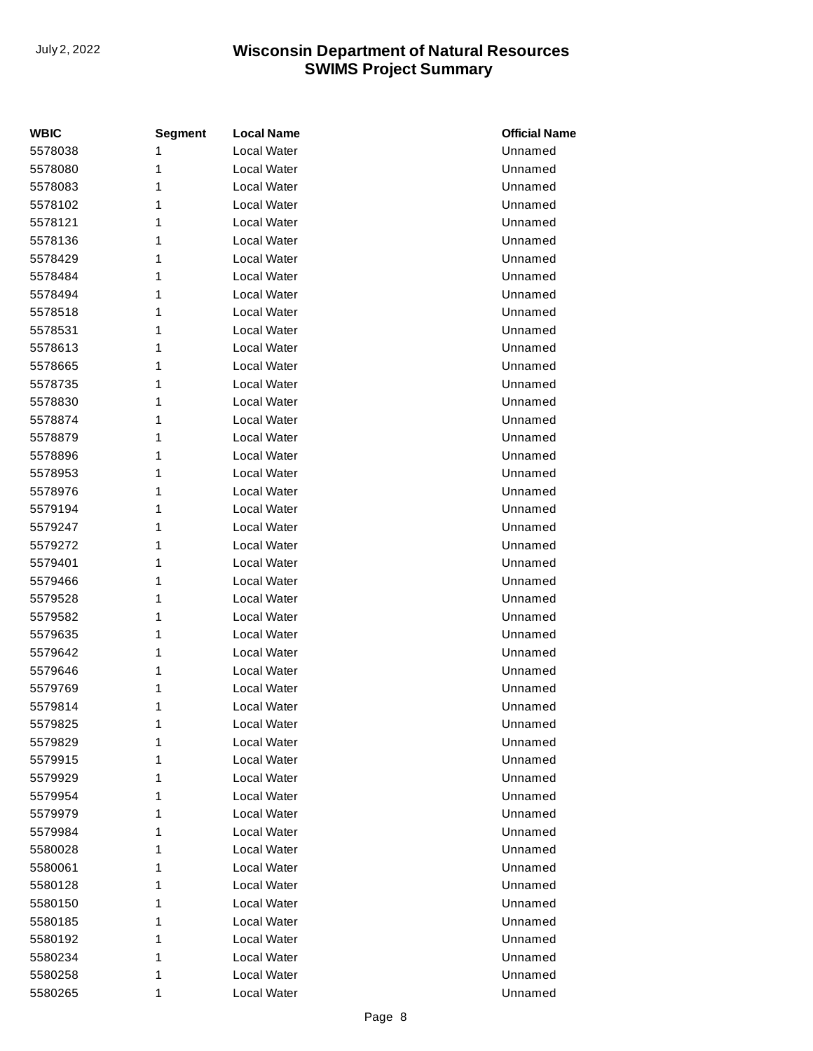| <b>WBIC</b> | <b>Segment</b> | <b>Local Name</b>  | <b>Official Name</b> |
|-------------|----------------|--------------------|----------------------|
| 5578038     | 1              | Local Water        | Unnamed              |
| 5578080     | 1              | Local Water        | Unnamed              |
| 5578083     | 1              | Local Water        | Unnamed              |
| 5578102     | 1              | Local Water        | Unnamed              |
| 5578121     | 1              | Local Water        | Unnamed              |
| 5578136     | 1              | Local Water        | Unnamed              |
| 5578429     | 1              | Local Water        | Unnamed              |
| 5578484     | 1              | <b>Local Water</b> | Unnamed              |
| 5578494     | 1              | Local Water        | Unnamed              |
| 5578518     | 1              | Local Water        | Unnamed              |
| 5578531     | 1              | Local Water        | Unnamed              |
| 5578613     | 1              | Local Water        | Unnamed              |
| 5578665     | 1              | Local Water        | Unnamed              |
| 5578735     | 1              | Local Water        | Unnamed              |
| 5578830     | 1              | Local Water        | Unnamed              |
| 5578874     | 1              | <b>Local Water</b> | Unnamed              |
| 5578879     | 1              | Local Water        | Unnamed              |
| 5578896     | 1              | Local Water        | Unnamed              |
| 5578953     | 1              | Local Water        | Unnamed              |
| 5578976     | 1              | Local Water        | Unnamed              |
| 5579194     | 1              | Local Water        | Unnamed              |
| 5579247     | 1              | Local Water        | Unnamed              |
| 5579272     | 1              | Local Water        | Unnamed              |
| 5579401     | 1              | <b>Local Water</b> | Unnamed              |
| 5579466     | 1              | Local Water        | Unnamed              |
| 5579528     | 1              | Local Water        | Unnamed              |
| 5579582     | 1              | Local Water        | Unnamed              |
| 5579635     | 1              | Local Water        | Unnamed              |
| 5579642     | 1              | Local Water        | Unnamed              |
| 5579646     | 1              | Local Water        | Unnamed              |
| 5579769     | 1              | Local Water        | Unnamed              |
| 5579814     | 1              | Local Water        | Unnamed              |
| 5579825     | 1              | Local Water        | Unnamed              |
| 5579829     | 1              | Local Water        | Unnamed              |
| 5579915     | 1              | Local Water        | Unnamed              |
| 5579929     | 1              | Local Water        | Unnamed              |
| 5579954     | 1              | Local Water        | Unnamed              |
| 5579979     | 1              | Local Water        | Unnamed              |
| 5579984     | 1              | Local Water        | Unnamed              |
| 5580028     | 1              | Local Water        | Unnamed              |
| 5580061     | 1              | Local Water        | Unnamed              |
| 5580128     | 1              | Local Water        | Unnamed              |
| 5580150     | 1              | Local Water        | Unnamed              |
| 5580185     | 1              | Local Water        | Unnamed              |
| 5580192     | 1              | Local Water        | Unnamed              |
| 5580234     | 1              | Local Water        | Unnamed              |
| 5580258     | 1              | Local Water        | Unnamed              |
| 5580265     | 1              | Local Water        | Unnamed              |